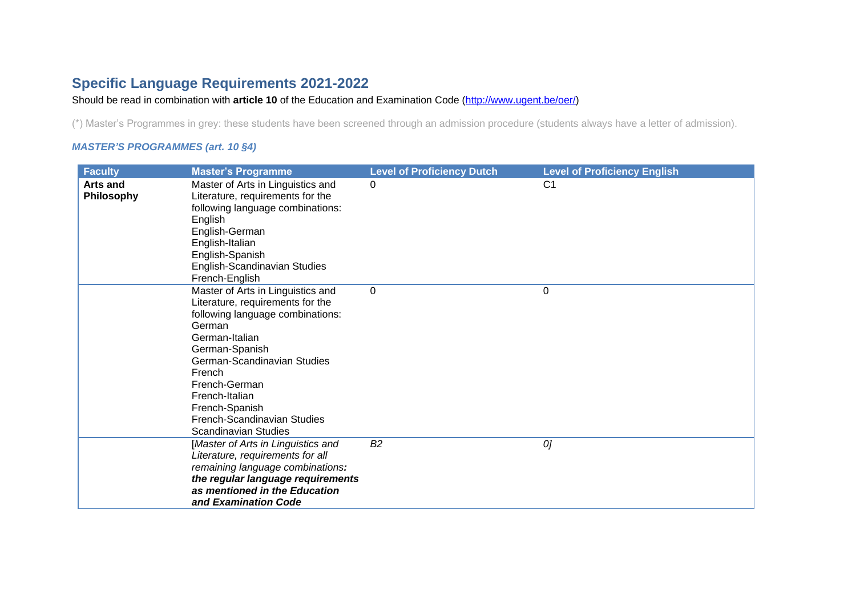## **Specific Language Requirements 2021-2022**

Should be read in combination with **article 10** of the Education and Examination Code [\(http://www.ugent.be/oer/\)](http://www.ugent.be/oer/)

(\*) Master's Programmes in grey: these students have been screened through an admission procedure (students always have a letter of admission).

## *MASTER'S PROGRAMMES (art. 10 §4)*

| <b>Faculty</b>         | <b>Master's Programme</b>                                                                                                                                                                                                                                                                                           | <b>Level of Proficiency Dutch</b> | <b>Level of Proficiency English</b> |
|------------------------|---------------------------------------------------------------------------------------------------------------------------------------------------------------------------------------------------------------------------------------------------------------------------------------------------------------------|-----------------------------------|-------------------------------------|
| Arts and<br>Philosophy | Master of Arts in Linguistics and<br>Literature, requirements for the<br>following language combinations:<br>English<br>English-German<br>English-Italian<br>English-Spanish<br>English-Scandinavian Studies<br>French-English                                                                                      | $\Omega$                          | C <sub>1</sub>                      |
|                        | Master of Arts in Linguistics and<br>Literature, requirements for the<br>following language combinations:<br>German<br>German-Italian<br>German-Spanish<br>German-Scandinavian Studies<br>French<br>French-German<br>French-Italian<br>French-Spanish<br>French-Scandinavian Studies<br><b>Scandinavian Studies</b> | 0                                 | 0                                   |
|                        | [Master of Arts in Linguistics and<br>Literature, requirements for all<br>remaining language combinations:<br>the regular language requirements<br>as mentioned in the Education<br>and Examination Code                                                                                                            | B <sub>2</sub>                    | 0]                                  |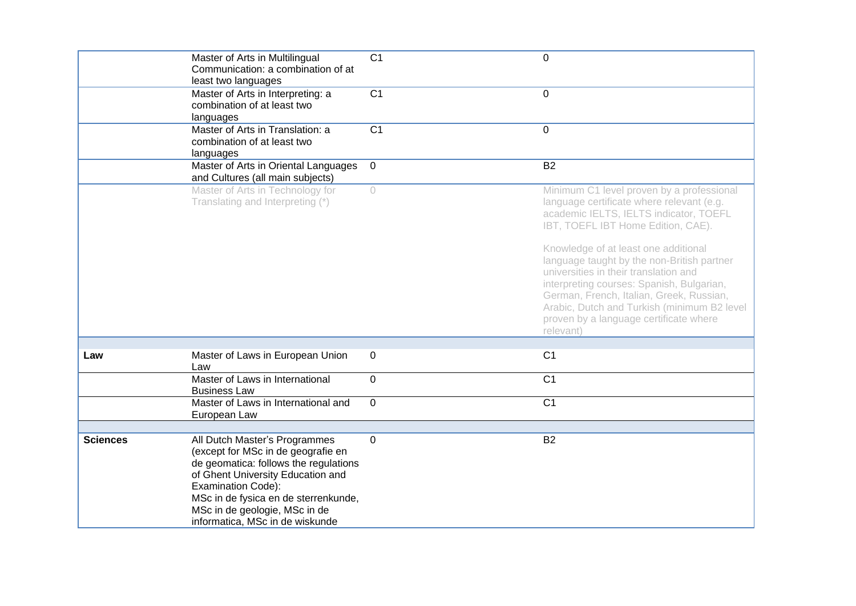|                 | Master of Arts in Multilingual<br>Communication: a combination of at<br>least two languages                                                                                                                                                                                         | C <sub>1</sub>  | $\overline{0}$                                                                                                                                                                                                                                                                                                             |
|-----------------|-------------------------------------------------------------------------------------------------------------------------------------------------------------------------------------------------------------------------------------------------------------------------------------|-----------------|----------------------------------------------------------------------------------------------------------------------------------------------------------------------------------------------------------------------------------------------------------------------------------------------------------------------------|
|                 | Master of Arts in Interpreting: a<br>combination of at least two<br>languages                                                                                                                                                                                                       | $\overline{C1}$ | 0                                                                                                                                                                                                                                                                                                                          |
|                 | Master of Arts in Translation: a<br>combination of at least two<br>languages                                                                                                                                                                                                        | C <sub>1</sub>  | $\mathbf 0$                                                                                                                                                                                                                                                                                                                |
|                 | Master of Arts in Oriental Languages<br>and Cultures (all main subjects)                                                                                                                                                                                                            | $\mathbf 0$     | <b>B2</b>                                                                                                                                                                                                                                                                                                                  |
|                 | Master of Arts in Technology for<br>Translating and Interpreting (*)                                                                                                                                                                                                                | $\bigcirc$      | Minimum C1 level proven by a professional<br>language certificate where relevant (e.g.<br>academic IELTS, IELTS indicator, TOEFL<br>IBT, TOEFL IBT Home Edition, CAE).                                                                                                                                                     |
|                 |                                                                                                                                                                                                                                                                                     |                 | Knowledge of at least one additional<br>language taught by the non-British partner<br>universities in their translation and<br>interpreting courses: Spanish, Bulgarian,<br>German, French, Italian, Greek, Russian,<br>Arabic, Dutch and Turkish (minimum B2 level<br>proven by a language certificate where<br>relevant) |
| Law             | Master of Laws in European Union<br>Law                                                                                                                                                                                                                                             | $\mathbf 0$     | C <sub>1</sub>                                                                                                                                                                                                                                                                                                             |
|                 | Master of Laws in International<br><b>Business Law</b>                                                                                                                                                                                                                              | $\mathbf 0$     | C <sub>1</sub>                                                                                                                                                                                                                                                                                                             |
|                 | Master of Laws in International and<br>European Law                                                                                                                                                                                                                                 | $\mathbf 0$     | C <sub>1</sub>                                                                                                                                                                                                                                                                                                             |
| <b>Sciences</b> | All Dutch Master's Programmes<br>(except for MSc in de geografie en<br>de geomatica: follows the regulations<br>of Ghent University Education and<br>Examination Code):<br>MSc in de fysica en de sterrenkunde,<br>MSc in de geologie, MSc in de<br>informatica, MSc in de wiskunde | $\Omega$        | <b>B2</b>                                                                                                                                                                                                                                                                                                                  |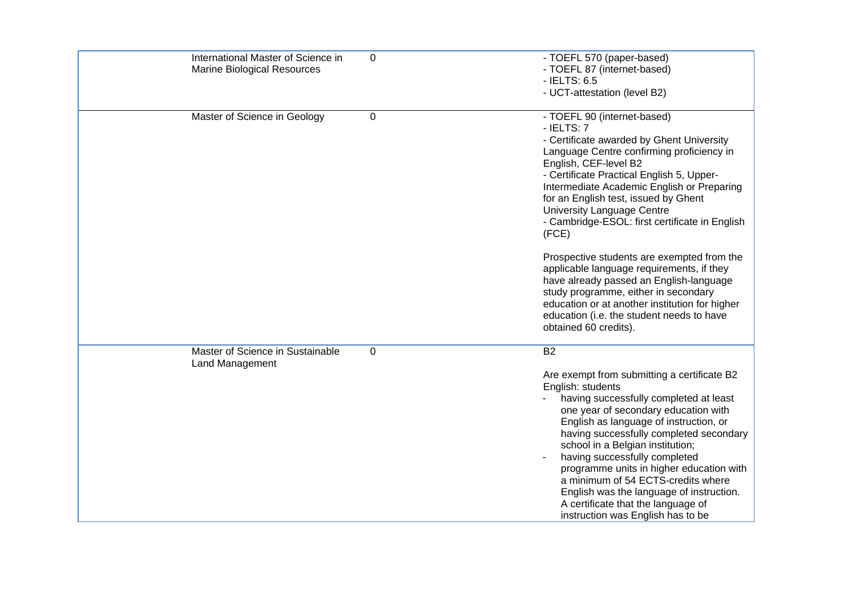| International Master of Science in<br><b>Marine Biological Resources</b> | 0           | - TOEFL 570 (paper-based)<br>- TOEFL 87 (internet-based)<br>- IELTS: 6.5<br>- UCT-attestation (level B2)                                                                                                                                                                                                                                                                                                                                                                                                                           |
|--------------------------------------------------------------------------|-------------|------------------------------------------------------------------------------------------------------------------------------------------------------------------------------------------------------------------------------------------------------------------------------------------------------------------------------------------------------------------------------------------------------------------------------------------------------------------------------------------------------------------------------------|
| Master of Science in Geology                                             | $\Omega$    | - TOEFL 90 (internet-based)<br>$-$ IELTS: $7$<br>- Certificate awarded by Ghent University<br>Language Centre confirming proficiency in<br>English, CEF-level B2<br>- Certificate Practical English 5, Upper-<br>Intermediate Academic English or Preparing<br>for an English test, issued by Ghent<br>University Language Centre<br>- Cambridge-ESOL: first certificate in English<br>(FCE)                                                                                                                                       |
|                                                                          |             | Prospective students are exempted from the<br>applicable language requirements, if they<br>have already passed an English-language<br>study programme, either in secondary<br>education or at another institution for higher<br>education (i.e. the student needs to have<br>obtained 60 credits).                                                                                                                                                                                                                                 |
| Master of Science in Sustainable<br>Land Management                      | $\mathbf 0$ | <b>B2</b><br>Are exempt from submitting a certificate B2<br>English: students<br>having successfully completed at least<br>one year of secondary education with<br>English as language of instruction, or<br>having successfully completed secondary<br>school in a Belgian institution;<br>having successfully completed<br>programme units in higher education with<br>a minimum of 54 ECTS-credits where<br>English was the language of instruction.<br>A certificate that the language of<br>instruction was English has to be |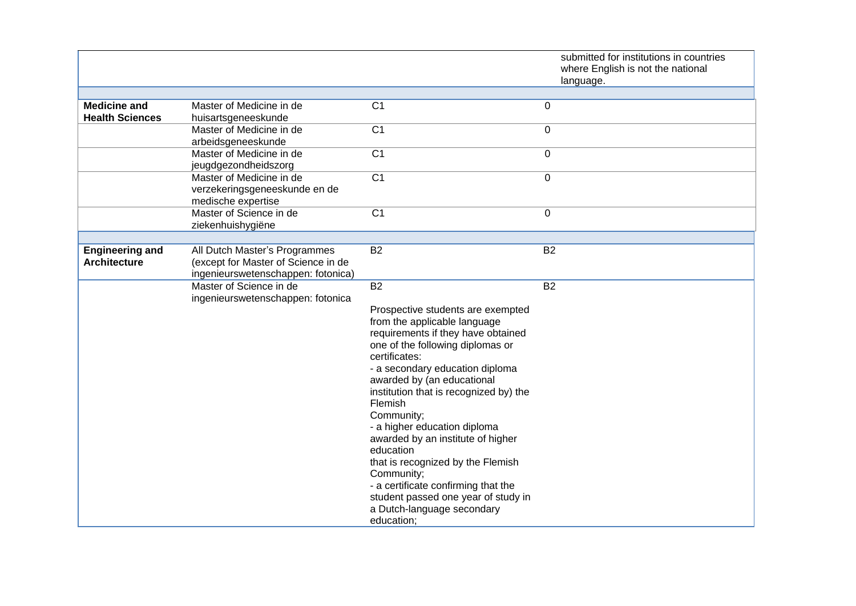|                                               |                                                                                                            |                                                                                                                                                                                                                                                                                                                                                                                                                                                                                                                                                                              | submitted for institutions in countries<br>where English is not the national<br>language. |
|-----------------------------------------------|------------------------------------------------------------------------------------------------------------|------------------------------------------------------------------------------------------------------------------------------------------------------------------------------------------------------------------------------------------------------------------------------------------------------------------------------------------------------------------------------------------------------------------------------------------------------------------------------------------------------------------------------------------------------------------------------|-------------------------------------------------------------------------------------------|
| <b>Medicine and</b><br><b>Health Sciences</b> | Master of Medicine in de<br>huisartsgeneeskunde                                                            | C <sub>1</sub>                                                                                                                                                                                                                                                                                                                                                                                                                                                                                                                                                               | $\mathbf 0$                                                                               |
|                                               | Master of Medicine in de<br>arbeidsgeneeskunde                                                             | $\overline{C1}$                                                                                                                                                                                                                                                                                                                                                                                                                                                                                                                                                              | 0                                                                                         |
|                                               | Master of Medicine in de<br>jeugdgezondheidszorg                                                           | $\overline{C1}$                                                                                                                                                                                                                                                                                                                                                                                                                                                                                                                                                              | $\mathbf 0$                                                                               |
|                                               | Master of Medicine in de<br>verzekeringsgeneeskunde en de<br>medische expertise                            | C <sub>1</sub>                                                                                                                                                                                                                                                                                                                                                                                                                                                                                                                                                               | 0                                                                                         |
|                                               | Master of Science in de<br>ziekenhuishygiëne                                                               | $\overline{C1}$                                                                                                                                                                                                                                                                                                                                                                                                                                                                                                                                                              | 0                                                                                         |
|                                               |                                                                                                            |                                                                                                                                                                                                                                                                                                                                                                                                                                                                                                                                                                              |                                                                                           |
| <b>Engineering and</b><br><b>Architecture</b> | All Dutch Master's Programmes<br>(except for Master of Science in de<br>ingenieurswetenschappen: fotonica) | <b>B2</b>                                                                                                                                                                                                                                                                                                                                                                                                                                                                                                                                                                    | <b>B2</b>                                                                                 |
|                                               | Master of Science in de<br>ingenieurswetenschappen: fotonica                                               | <b>B2</b><br>Prospective students are exempted<br>from the applicable language<br>requirements if they have obtained<br>one of the following diplomas or<br>certificates:<br>- a secondary education diploma<br>awarded by (an educational<br>institution that is recognized by) the<br>Flemish<br>Community;<br>- a higher education diploma<br>awarded by an institute of higher<br>education<br>that is recognized by the Flemish<br>Community;<br>- a certificate confirming that the<br>student passed one year of study in<br>a Dutch-language secondary<br>education; | <b>B2</b>                                                                                 |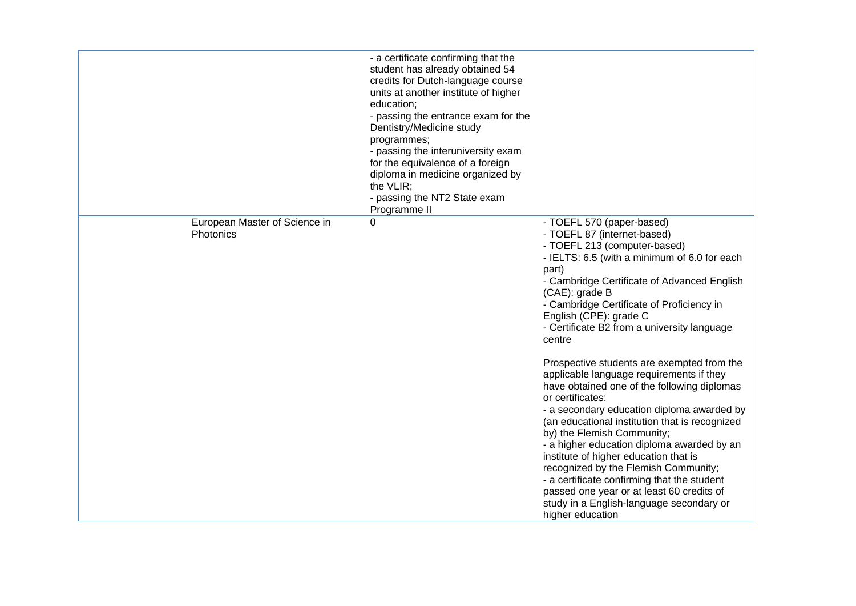|                                            | - a certificate confirming that the<br>student has already obtained 54<br>credits for Dutch-language course<br>units at another institute of higher<br>education;<br>- passing the entrance exam for the<br>Dentistry/Medicine study<br>programmes;<br>- passing the interuniversity exam<br>for the equivalence of a foreign<br>diploma in medicine organized by<br>the VLIR;<br>- passing the NT2 State exam<br>Programme II |                                                                                                                                                                                                                                                                                                                                                                                                                                                                                                                                                                                                                                                                                                                                                                                                                                                                                                                                          |
|--------------------------------------------|--------------------------------------------------------------------------------------------------------------------------------------------------------------------------------------------------------------------------------------------------------------------------------------------------------------------------------------------------------------------------------------------------------------------------------|------------------------------------------------------------------------------------------------------------------------------------------------------------------------------------------------------------------------------------------------------------------------------------------------------------------------------------------------------------------------------------------------------------------------------------------------------------------------------------------------------------------------------------------------------------------------------------------------------------------------------------------------------------------------------------------------------------------------------------------------------------------------------------------------------------------------------------------------------------------------------------------------------------------------------------------|
| European Master of Science in<br>Photonics | 0                                                                                                                                                                                                                                                                                                                                                                                                                              | - TOEFL 570 (paper-based)<br>- TOEFL 87 (internet-based)<br>- TOEFL 213 (computer-based)<br>- IELTS: 6.5 (with a minimum of 6.0 for each<br>part)<br>- Cambridge Certificate of Advanced English<br>(CAE): grade B<br>- Cambridge Certificate of Proficiency in<br>English (CPE): grade C<br>- Certificate B2 from a university language<br>centre<br>Prospective students are exempted from the<br>applicable language requirements if they<br>have obtained one of the following diplomas<br>or certificates:<br>- a secondary education diploma awarded by<br>(an educational institution that is recognized<br>by) the Flemish Community;<br>- a higher education diploma awarded by an<br>institute of higher education that is<br>recognized by the Flemish Community;<br>- a certificate confirming that the student<br>passed one year or at least 60 credits of<br>study in a English-language secondary or<br>higher education |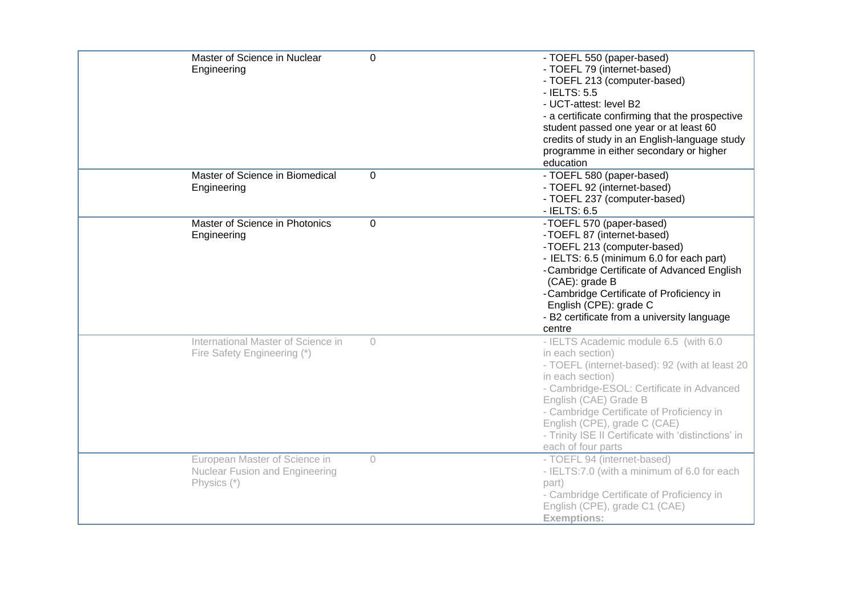| Master of Science in Nuclear<br>Engineering                                           | $\Omega$    | - TOEFL 550 (paper-based)<br>- TOEFL 79 (internet-based)<br>- TOEFL 213 (computer-based)<br>$-$ IELTS: 5.5<br>- UCT-attest: level B2<br>- a certificate confirming that the prospective<br>student passed one year or at least 60<br>credits of study in an English-language study<br>programme in either secondary or higher<br>education                      |
|---------------------------------------------------------------------------------------|-------------|-----------------------------------------------------------------------------------------------------------------------------------------------------------------------------------------------------------------------------------------------------------------------------------------------------------------------------------------------------------------|
| Master of Science in Biomedical<br>Engineering                                        | $\mathbf 0$ | - TOEFL 580 (paper-based)<br>- TOEFL 92 (internet-based)<br>- TOEFL 237 (computer-based)<br>- IELTS: 6.5                                                                                                                                                                                                                                                        |
| Master of Science in Photonics<br>Engineering                                         | $\mathbf 0$ | -TOEFL 570 (paper-based)<br>-TOEFL 87 (internet-based)<br>-TOEFL 213 (computer-based)<br>- IELTS: 6.5 (minimum 6.0 for each part)<br>-Cambridge Certificate of Advanced English<br>(CAE): grade B<br>-Cambridge Certificate of Proficiency in<br>English (CPE): grade C<br>- B2 certificate from a university language<br>centre                                |
| International Master of Science in<br>Fire Safety Engineering (*)                     | $\circ$     | - IELTS Academic module 6.5 (with 6.0<br>in each section)<br>- TOEFL (internet-based): 92 (with at least 20<br>in each section)<br>- Cambridge-ESOL: Certificate in Advanced<br>English (CAE) Grade B<br>- Cambridge Certificate of Proficiency in<br>English (CPE), grade C (CAE)<br>- Trinity ISE II Certificate with 'distinctions' in<br>each of four parts |
| European Master of Science in<br><b>Nuclear Fusion and Engineering</b><br>Physics (*) | $\circ$     | - TOEFL 94 (internet-based)<br>- IELTS:7.0 (with a minimum of 6.0 for each<br>part)<br>- Cambridge Certificate of Proficiency in<br>English (CPE), grade C1 (CAE)<br><b>Exemptions:</b>                                                                                                                                                                         |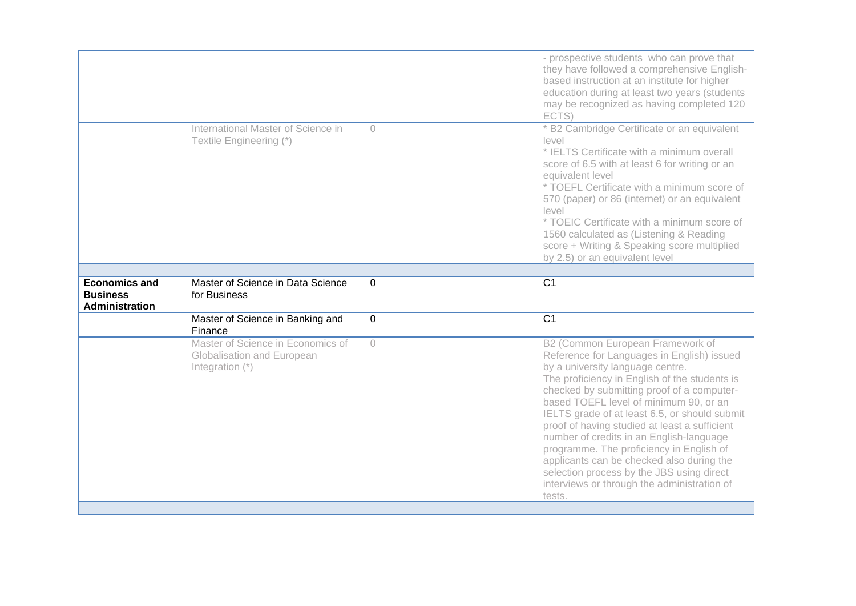|                                                                  |                                                                                      |            | - prospective students who can prove that<br>they have followed a comprehensive English-<br>based instruction at an institute for higher<br>education during at least two years (students<br>may be recognized as having completed 120<br>ECTS)                                                                                                                                                                                                              |
|------------------------------------------------------------------|--------------------------------------------------------------------------------------|------------|--------------------------------------------------------------------------------------------------------------------------------------------------------------------------------------------------------------------------------------------------------------------------------------------------------------------------------------------------------------------------------------------------------------------------------------------------------------|
|                                                                  | International Master of Science in<br>Textile Engineering (*)                        | $\bigcap$  | * B2 Cambridge Certificate or an equivalent<br>level<br>* IELTS Certificate with a minimum overall<br>score of 6.5 with at least 6 for writing or an<br>equivalent level<br>* TOEFL Certificate with a minimum score of<br>570 (paper) or 86 (internet) or an equivalent<br>level<br>* TOEIC Certificate with a minimum score of<br>1560 calculated as (Listening & Reading<br>score + Writing & Speaking score multiplied<br>by 2.5) or an equivalent level |
|                                                                  |                                                                                      |            |                                                                                                                                                                                                                                                                                                                                                                                                                                                              |
| <b>Economics and</b><br><b>Business</b><br><b>Administration</b> | Master of Science in Data Science<br>for Business                                    | 0          | C <sub>1</sub>                                                                                                                                                                                                                                                                                                                                                                                                                                               |
|                                                                  | Master of Science in Banking and<br>Finance                                          | $\Omega$   | C <sub>1</sub>                                                                                                                                                                                                                                                                                                                                                                                                                                               |
|                                                                  | Master of Science in Economics of<br>Globalisation and European<br>Integration $(*)$ | $\bigcirc$ | B2 (Common European Framework of<br>Reference for Languages in English) issued<br>by a university language centre.<br>The proficiency in English of the students is<br>checked by submitting proof of a computer-<br>based TOEFL level of minimum 90, or an<br>IELTS grade of at least 6.5, or should submit<br>proof of having studied at least a sufficient<br>number of credits in an English-language                                                    |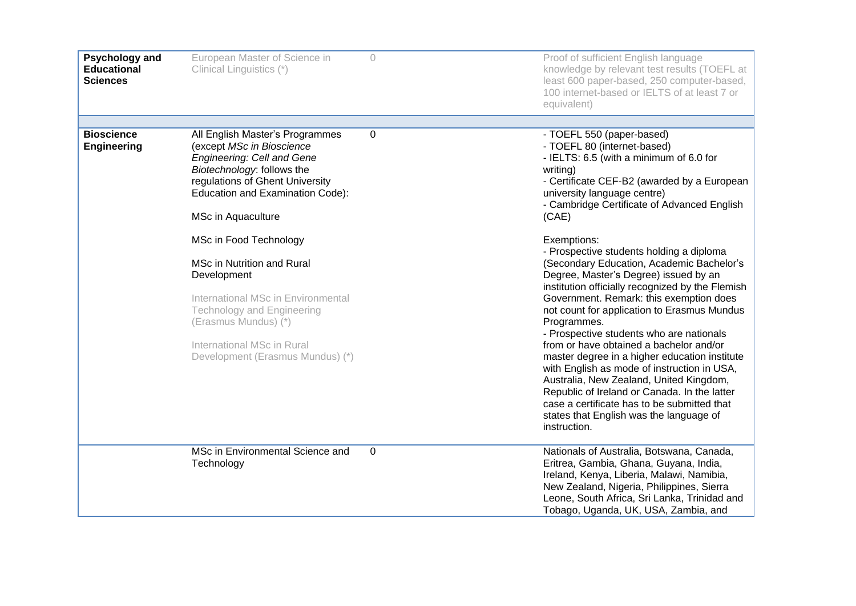| Psychology and<br><b>Educational</b><br><b>Sciences</b> | European Master of Science in<br>Clinical Linguistics (*)                                                                                                                                                                                       | $\bigcirc$  | Proof of sufficient English language<br>knowledge by relevant test results (TOEFL at<br>least 600 paper-based, 250 computer-based,<br>100 internet-based or IELTS of at least 7 or<br>equivalent)                                                                                                                                                                                                                                                                                                                                                                                                                                                                                                      |
|---------------------------------------------------------|-------------------------------------------------------------------------------------------------------------------------------------------------------------------------------------------------------------------------------------------------|-------------|--------------------------------------------------------------------------------------------------------------------------------------------------------------------------------------------------------------------------------------------------------------------------------------------------------------------------------------------------------------------------------------------------------------------------------------------------------------------------------------------------------------------------------------------------------------------------------------------------------------------------------------------------------------------------------------------------------|
| <b>Bioscience</b><br><b>Engineering</b>                 | All English Master's Programmes<br>(except MSc in Bioscience<br><b>Engineering: Cell and Gene</b><br>Biotechnology: follows the<br>regulations of Ghent University<br>Education and Examination Code):<br>MSc in Aquaculture                    | $\mathbf 0$ | - TOEFL 550 (paper-based)<br>- TOEFL 80 (internet-based)<br>- IELTS: 6.5 (with a minimum of 6.0 for<br>writing)<br>- Certificate CEF-B2 (awarded by a European<br>university language centre)<br>- Cambridge Certificate of Advanced English<br>(CAE)                                                                                                                                                                                                                                                                                                                                                                                                                                                  |
|                                                         | MSc in Food Technology<br><b>MSc in Nutrition and Rural</b><br>Development<br>International MSc in Environmental<br><b>Technology and Engineering</b><br>(Erasmus Mundus) (*)<br>International MSc in Rural<br>Development (Erasmus Mundus) (*) |             | Exemptions:<br>- Prospective students holding a diploma<br>(Secondary Education, Academic Bachelor's<br>Degree, Master's Degree) issued by an<br>institution officially recognized by the Flemish<br>Government. Remark: this exemption does<br>not count for application to Erasmus Mundus<br>Programmes.<br>- Prospective students who are nationals<br>from or have obtained a bachelor and/or<br>master degree in a higher education institute<br>with English as mode of instruction in USA,<br>Australia, New Zealand, United Kingdom,<br>Republic of Ireland or Canada. In the latter<br>case a certificate has to be submitted that<br>states that English was the language of<br>instruction. |
|                                                         | MSc in Environmental Science and<br>Technology                                                                                                                                                                                                  | 0           | Nationals of Australia, Botswana, Canada,<br>Eritrea, Gambia, Ghana, Guyana, India,<br>Ireland, Kenya, Liberia, Malawi, Namibia,<br>New Zealand, Nigeria, Philippines, Sierra<br>Leone, South Africa, Sri Lanka, Trinidad and<br>Tobago, Uganda, UK, USA, Zambia, and                                                                                                                                                                                                                                                                                                                                                                                                                                  |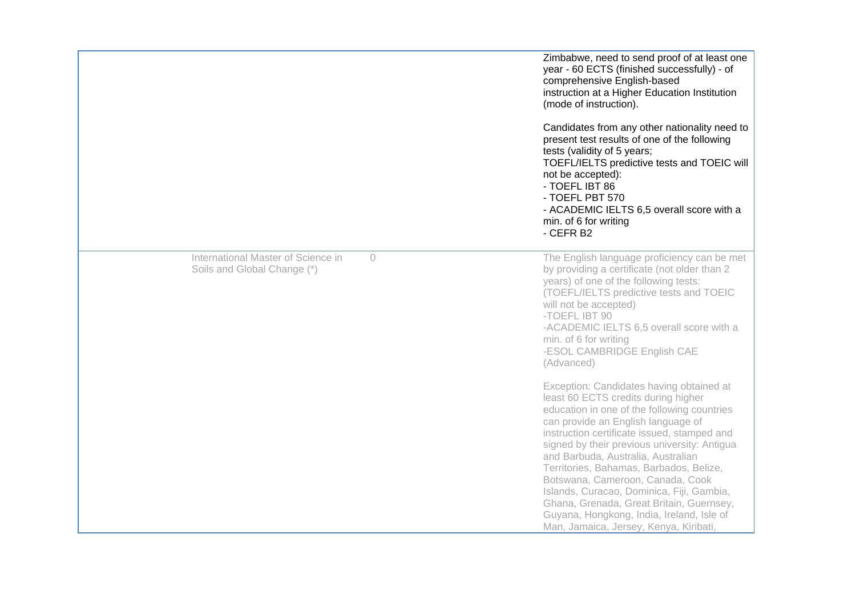|                                                                              | Zimbabwe, need to send proof of at least one<br>year - 60 ECTS (finished successfully) - of<br>comprehensive English-based<br>instruction at a Higher Education Institution<br>(mode of instruction).<br>Candidates from any other nationality need to<br>present test results of one of the following<br>tests (validity of 5 years;<br>TOEFL/IELTS predictive tests and TOEIC will<br>not be accepted):<br>- TOEFL IBT 86<br>- TOEFL PBT 570<br>- ACADEMIC IELTS 6,5 overall score with a<br>min. of 6 for writing<br>- CEFR B2                                        |
|------------------------------------------------------------------------------|--------------------------------------------------------------------------------------------------------------------------------------------------------------------------------------------------------------------------------------------------------------------------------------------------------------------------------------------------------------------------------------------------------------------------------------------------------------------------------------------------------------------------------------------------------------------------|
| International Master of Science in<br>$\circ$<br>Soils and Global Change (*) | The English language proficiency can be met<br>by providing a certificate (not older than 2<br>years) of one of the following tests:<br>(TOEFL/IELTS predictive tests and TOEIC<br>will not be accepted)<br>-TOEFL IBT 90<br>-ACADEMIC IELTS 6,5 overall score with a<br>min. of 6 for writing<br>-ESOL CAMBRIDGE English CAE<br>(Advanced)                                                                                                                                                                                                                              |
|                                                                              | Exception: Candidates having obtained at<br>least 60 ECTS credits during higher<br>education in one of the following countries<br>can provide an English language of<br>instruction certificate issued, stamped and<br>signed by their previous university: Antigua<br>and Barbuda, Australia, Australian<br>Territories, Bahamas, Barbados, Belize,<br>Botswana, Cameroon, Canada, Cook<br>Islands, Curacao, Dominica, Fiji, Gambia,<br>Ghana, Grenada, Great Britain, Guernsey,<br>Guyana, Hongkong, India, Ireland, Isle of<br>Man, Jamaica, Jersey, Kenya, Kiribati, |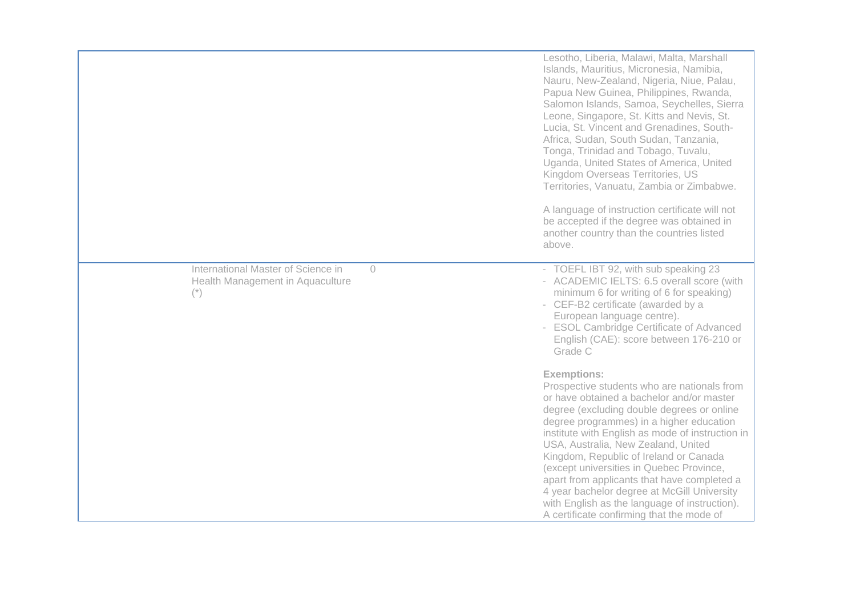|                                                                                                  | Lesotho, Liberia, Malawi, Malta, Marshall<br>Islands, Mauritius, Micronesia, Namibia,<br>Nauru, New-Zealand, Nigeria, Niue, Palau,<br>Papua New Guinea, Philippines, Rwanda,<br>Salomon Islands, Samoa, Seychelles, Sierra<br>Leone, Singapore, St. Kitts and Nevis, St.<br>Lucia, St. Vincent and Grenadines, South-<br>Africa, Sudan, South Sudan, Tanzania,<br>Tonga, Trinidad and Tobago, Tuvalu,<br>Uganda, United States of America, United<br>Kingdom Overseas Territories, US<br>Territories, Vanuatu, Zambia or Zimbabwe.                                                    |
|--------------------------------------------------------------------------------------------------|---------------------------------------------------------------------------------------------------------------------------------------------------------------------------------------------------------------------------------------------------------------------------------------------------------------------------------------------------------------------------------------------------------------------------------------------------------------------------------------------------------------------------------------------------------------------------------------|
|                                                                                                  | A language of instruction certificate will not<br>be accepted if the degree was obtained in<br>another country than the countries listed<br>above.                                                                                                                                                                                                                                                                                                                                                                                                                                    |
| International Master of Science in<br>$\circ$<br>Health Management in Aquaculture<br>$(\dot{z})$ | - TOEFL IBT 92, with sub speaking 23<br>- ACADEMIC IELTS: 6.5 overall score (with<br>minimum 6 for writing of 6 for speaking)<br>- CEF-B2 certificate (awarded by a<br>European language centre).<br>- ESOL Cambridge Certificate of Advanced<br>English (CAE): score between 176-210 or<br>Grade C                                                                                                                                                                                                                                                                                   |
|                                                                                                  | <b>Exemptions:</b><br>Prospective students who are nationals from<br>or have obtained a bachelor and/or master<br>degree (excluding double degrees or online<br>degree programmes) in a higher education<br>institute with English as mode of instruction in<br>USA, Australia, New Zealand, United<br>Kingdom, Republic of Ireland or Canada<br>(except universities in Quebec Province,<br>apart from applicants that have completed a<br>4 year bachelor degree at McGill University<br>with English as the language of instruction).<br>A certificate confirming that the mode of |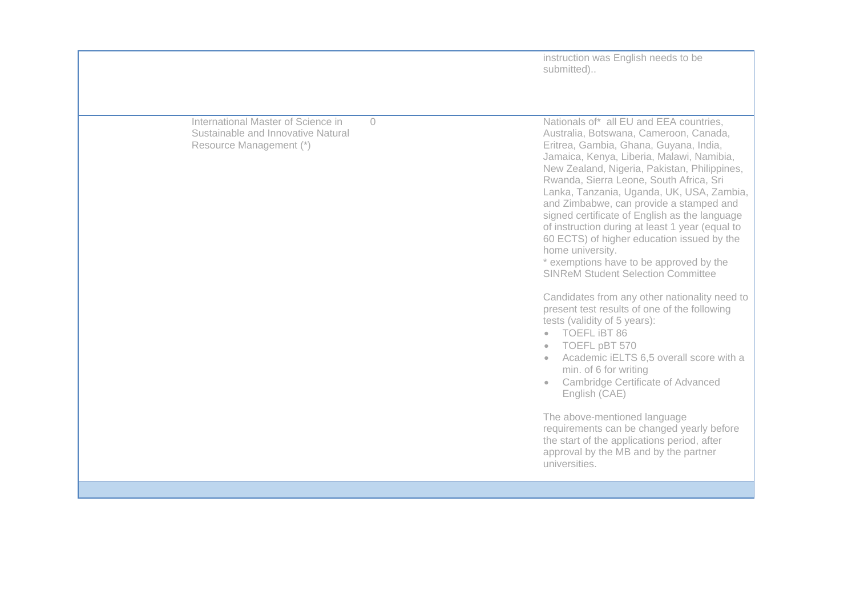instruction was English needs to be submitted).. International Master of Science in Sustainable and Innovative Natural Resource Management (\*) 0 Nationals of\* all EU and EEA countries, Australia, Botswana, Cameroon, Canada, Eritrea, Gambia, Ghana, Guyana, India, Jamaica, Kenya, Liberia, Malawi, Namibia, New Zealand, Nigeria, Pakistan, Philippines, Rwanda, Sierra Leone, South Africa, Sri Lanka, Tanzania, Uganda, UK, USA, Zambia, and Zimbabwe, can provide a stamped and<br>signed certificate of English as the language of instruction during at least 1 year (equal to 60 ECTS) of higher education issued by the home university. \* exemptions have to be approved by the SINRe M Student Selection Committee Candidates from any other nationality need to present test results of one of the following tests (validity of 5 years): • TOEFL iBT 86 • TOEFL pBT 570 • Academic iELTS 6,5 overall score with a min. of 6 for writing • Cambridge Certificate of Advanced English (CAE) The above -mentioned language requirements can be changed yearly before the start of the applications period, after approval by the MB and by the partner universities.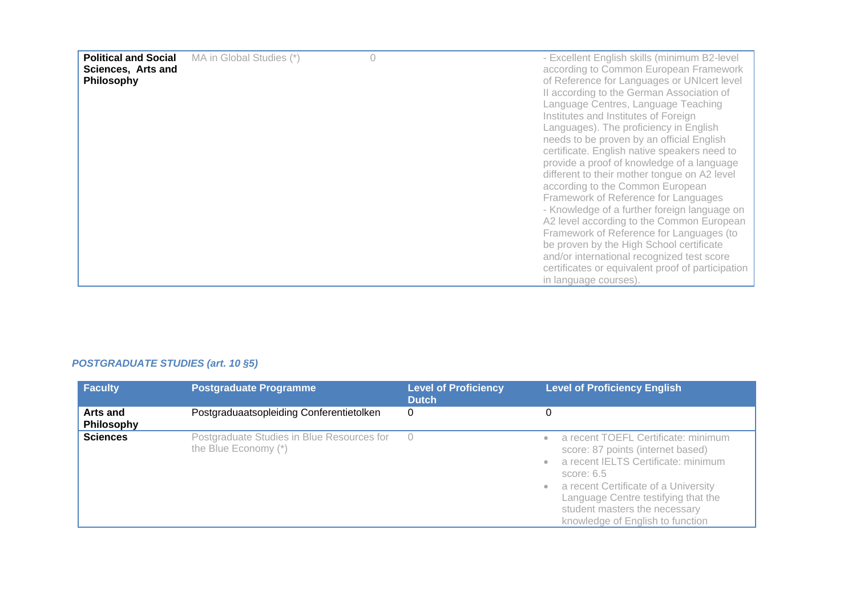| <b>Political and Social</b><br>MA in Global Studies (*)<br>Sciences, Arts and<br>Philosophy |  | - Excellent English skills (minimum B2-level<br>according to Common European Framework<br>of Reference for Languages or UNIcert level<br>Il according to the German Association of<br>Language Centres, Language Teaching<br>Institutes and Institutes of Foreign<br>Languages). The proficiency in English<br>needs to be proven by an official English<br>certificate. English native speakers need to<br>provide a proof of knowledge of a language<br>different to their mother tongue on A2 level<br>according to the Common European<br>Framework of Reference for Languages<br>- Knowledge of a further foreign language on<br>A2 level according to the Common European<br>Framework of Reference for Languages (to<br>be proven by the High School certificate<br>and/or international recognized test score<br>certificates or equivalent proof of participation<br>in language courses). |
|---------------------------------------------------------------------------------------------|--|-----------------------------------------------------------------------------------------------------------------------------------------------------------------------------------------------------------------------------------------------------------------------------------------------------------------------------------------------------------------------------------------------------------------------------------------------------------------------------------------------------------------------------------------------------------------------------------------------------------------------------------------------------------------------------------------------------------------------------------------------------------------------------------------------------------------------------------------------------------------------------------------------------|
|---------------------------------------------------------------------------------------------|--|-----------------------------------------------------------------------------------------------------------------------------------------------------------------------------------------------------------------------------------------------------------------------------------------------------------------------------------------------------------------------------------------------------------------------------------------------------------------------------------------------------------------------------------------------------------------------------------------------------------------------------------------------------------------------------------------------------------------------------------------------------------------------------------------------------------------------------------------------------------------------------------------------------|

## *POSTGRADUATE STUDIES (art. 10 §5)*

| <b>Faculty</b>         | <b>Postgraduate Programme</b>                                      | <b>Level of Proficiency</b><br><b>Dutch</b> | <b>Level of Proficiency English</b>                                                                                                                                                                                                                                                                                                      |
|------------------------|--------------------------------------------------------------------|---------------------------------------------|------------------------------------------------------------------------------------------------------------------------------------------------------------------------------------------------------------------------------------------------------------------------------------------------------------------------------------------|
| Arts and<br>Philosophy | Postgraduaatsopleiding Conferentietolken                           | 0                                           | 0                                                                                                                                                                                                                                                                                                                                        |
| <b>Sciences</b>        | Postgraduate Studies in Blue Resources for<br>the Blue Economy (*) | 0                                           | a recent TOEFL Certificate: minimum<br>$\bullet$<br>score: 87 points (internet based)<br>a recent IELTS Certificate: minimum<br>$\qquad \qquad \bullet$<br>score: $6.5$<br>a recent Certificate of a University<br>$\bullet$<br>Language Centre testifying that the<br>student masters the necessary<br>knowledge of English to function |